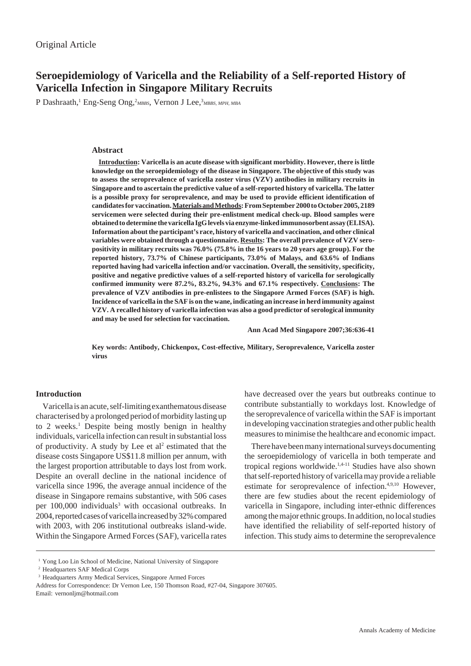# **Seroepidemiology of Varicella and the Reliability of a Self-reported History of Varicella Infection in Singapore Military Recruits**

P Dashraath,<sup>1</sup> Eng-Seng Ong,<sup>2</sup>MBBS, Vernon J Lee,<sup>3</sup>MBBS, MPH, MBA

# **Abstract**

**Introduction: Varicella is an acute disease with significant morbidity. However, there is little knowledge on the seroepidemiology of the disease in Singapore. The objective of this study was to assess the seroprevalence of varicella zoster virus (VZV) antibodies in military recruits in Singapore and to ascertain the predictive value of a self-reported history of varicella. The latter is a possible proxy for seroprevalence, and may be used to provide efficient identification of candidates for vaccination. Materials and Methods: From September 2000 to October 2005, 2189 servicemen were selected during their pre-enlistment medical check-up. Blood samples were obtained to determine the varicella IgG levels via enzyme-linked immunosorbent assay (ELISA). Information about the participant's race, history of varicella and vaccination, and other clinical variables were obtained through a questionnaire. Results: The overall prevalence of VZV seropositivity in military recruits was 76.0% (75.8% in the 16 years to 20 years age group). For the reported history, 73.7% of Chinese participants, 73.0% of Malays, and 63.6% of Indians reported having had varicella infection and/or vaccination. Overall, the sensitivity, specificity, positive and negative predictive values of a self-reported history of varicella for serologically confirmed immunity were 87.2%, 83.2%, 94.3% and 67.1% respectively. Conclusions: The prevalence of VZV antibodies in pre-enlistees to the Singapore Armed Forces (SAF) is high. Incidence of varicella in the SAF is on the wane, indicating an increase in herd immunity against VZV. A recalled history of varicella infection was also a good predictor of serological immunity and may be used for selection for vaccination.**

**Ann Acad Med Singapore 2007;36:636-41**

**Key words: Antibody, Chickenpox, Cost-effective, Military, Seroprevalence, Varicella zoster virus**

## **Introduction**

Varicella is an acute, self-limiting exanthematous disease characterised by a prolonged period of morbidity lasting up to 2 weeks.<sup>1</sup> Despite being mostly benign in healthy individuals, varicella infection can result in substantial loss of productivity. A study by Lee et al<sup>2</sup> estimated that the disease costs Singapore US\$11.8 million per annum, with the largest proportion attributable to days lost from work. Despite an overall decline in the national incidence of varicella since 1996, the average annual incidence of the disease in Singapore remains substantive, with 506 cases per 100,000 individuals<sup>3</sup> with occasional outbreaks. In 2004, reported cases of varicella increased by 32% compared with 2003, with 206 institutional outbreaks island-wide. Within the Singapore Armed Forces (SAF), varicella rates have decreased over the years but outbreaks continue to contribute substantially to workdays lost. Knowledge of the seroprevalence of varicella within the SAF is important in developing vaccination strategies and other public health measures to minimise the healthcare and economic impact.

There have been many international surveys documenting the seroepidemiology of varicella in both temperate and tropical regions worldwide.1,4-11 Studies have also shown that self-reported history of varicella may provide a reliable estimate for seroprevalence of infection.<sup>4,9,10</sup> However, there are few studies about the recent epidemiology of varicella in Singapore, including inter-ethnic differences among the major ethnic groups. In addition, no local studies have identified the reliability of self-reported history of infection. This study aims to determine the seroprevalence

<sup>&</sup>lt;sup>1</sup> Yong Loo Lin School of Medicine, National University of Singapore

<sup>2</sup> Headquarters SAF Medical Corps

<sup>&</sup>lt;sup>3</sup> Headquarters Army Medical Services, Singapore Armed Forces

Address for Correspondence: Dr Vernon Lee, 150 Thomson Road, #27-04, Singapore 307605. Email: vernonljm@hotmail.com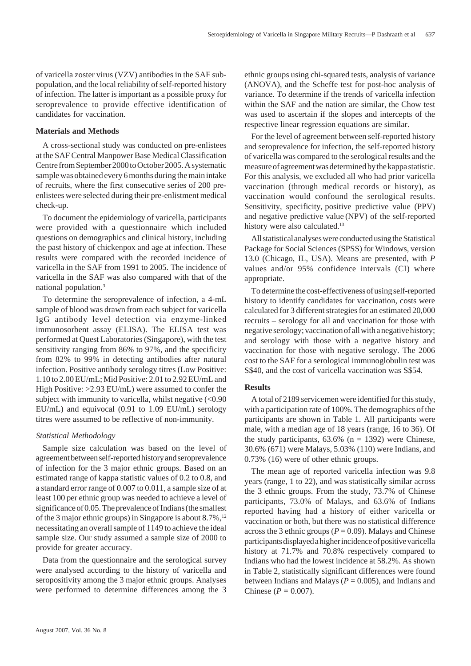of varicella zoster virus (VZV) antibodies in the SAF subpopulation, and the local reliability of self-reported history of infection. The latter is important as a possible proxy for seroprevalence to provide effective identification of candidates for vaccination.

## **Materials and Methods**

A cross-sectional study was conducted on pre-enlistees at the SAF Central Manpower Base Medical Classification Centre from September 2000 to October 2005. A systematic sample was obtained every 6 months during the main intake of recruits, where the first consecutive series of 200 preenlistees were selected during their pre-enlistment medical check-up.

To document the epidemiology of varicella, participants were provided with a questionnaire which included questions on demographics and clinical history, including the past history of chickenpox and age at infection. These results were compared with the recorded incidence of varicella in the SAF from 1991 to 2005. The incidence of varicella in the SAF was also compared with that of the national population.3

To determine the seroprevalence of infection, a 4-mL sample of blood was drawn from each subject for varicella IgG antibody level detection via enzyme-linked immunosorbent assay (ELISA). The ELISA test was performed at Quest Laboratories (Singapore), with the test sensitivity ranging from 86% to 97%, and the specificity from 82% to 99% in detecting antibodies after natural infection. Positive antibody serology titres (Low Positive: 1.10 to 2.00 EU/mL; Mid Positive: 2.01 to 2.92 EU/mL and High Positive: >2.93 EU/mL) were assumed to confer the subject with immunity to varicella, whilst negative  $\langle$  <0.90 EU/mL) and equivocal (0.91 to 1.09 EU/mL) serology titres were assumed to be reflective of non-immunity.

## *Statistical Methodology*

Sample size calculation was based on the level of agreement between self-reported history and seroprevalence of infection for the 3 major ethnic groups. Based on an estimated range of kappa statistic values of 0.2 to 0.8, and a standard error range of 0.007 to 0.011, a sample size of at least 100 per ethnic group was needed to achieve a level of significance of 0.05. The prevalence of Indians (the smallest of the 3 major ethnic groups) in Singapore is about 8.7%,<sup>12</sup> necessitating an overall sample of 1149 to achieve the ideal sample size. Our study assumed a sample size of 2000 to provide for greater accuracy.

Data from the questionnaire and the serological survey were analysed according to the history of varicella and seropositivity among the 3 major ethnic groups. Analyses were performed to determine differences among the 3 ethnic groups using chi-squared tests, analysis of variance (ANOVA), and the Scheffe test for post-hoc analysis of variance. To determine if the trends of varicella infection within the SAF and the nation are similar, the Chow test was used to ascertain if the slopes and intercepts of the respective linear regression equations are similar.

For the level of agreement between self-reported history and seroprevalence for infection, the self-reported history of varicella was compared to the serological results and the measure of agreement was determined by the kappa statistic. For this analysis, we excluded all who had prior varicella vaccination (through medical records or history), as vaccination would confound the serological results. Sensitivity, specificity, positive predictive value (PPV) and negative predictive value (NPV) of the self-reported history were also calculated.<sup>13</sup>

All statistical analyses were conducted using the Statistical Package for Social Sciences (SPSS) for Windows, version 13.0 (Chicago, IL, USA). Means are presented, with *P* values and/or 95% confidence intervals (CI) where appropriate.

To determine the cost-effectiveness of using self-reported history to identify candidates for vaccination, costs were calculated for 3 different strategies for an estimated 20,000 recruits – serology for all and vaccination for those with negative serology; vaccination of all with a negative history; and serology with those with a negative history and vaccination for those with negative serology. The 2006 cost to the SAF for a serological immunoglobulin test was S\$40, and the cost of varicella vaccination was S\$54.

### **Results**

A total of 2189 servicemen were identified for this study, with a participation rate of 100%. The demographics of the participants are shown in Table 1. All participants were male, with a median age of 18 years (range, 16 to 36). Of the study participants,  $63.6\%$  (n = 1392) were Chinese, 30.6% (671) were Malays, 5.03% (110) were Indians, and 0.73% (16) were of other ethnic groups.

The mean age of reported varicella infection was 9.8 years (range, 1 to 22), and was statistically similar across the 3 ethnic groups. From the study, 73.7% of Chinese participants, 73.0% of Malays, and 63.6% of Indians reported having had a history of either varicella or vaccination or both, but there was no statistical difference across the 3 ethnic groups ( $P = 0.09$ ). Malays and Chinese participants displayed a higher incidence of positive varicella history at 71.7% and 70.8% respectively compared to Indians who had the lowest incidence at 58.2%. As shown in Table 2, statistically significant differences were found between Indians and Malays ( $P = 0.005$ ), and Indians and Chinese ( $P = 0.007$ ).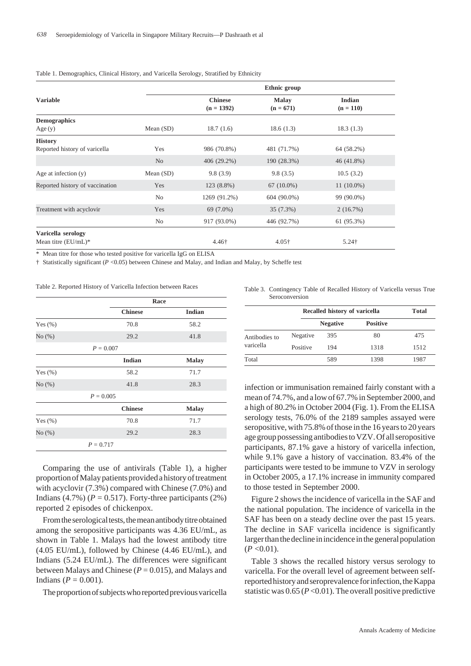|                                 |                | Ethnic group                   |                             |                       |  |
|---------------------------------|----------------|--------------------------------|-----------------------------|-----------------------|--|
| <b>Variable</b>                 |                | <b>Chinese</b><br>$(n = 1392)$ | <b>Malay</b><br>$(n = 671)$ | Indian<br>$(n = 110)$ |  |
| <b>Demographics</b>             |                |                                |                             |                       |  |
| Age(y)                          | Mean $(SD)$    | 18.7(1.6)                      | 18.6(1.3)                   | 18.3(1.3)             |  |
| <b>History</b>                  |                |                                |                             |                       |  |
| Reported history of varicella   | Yes            | 986 (70.8%)                    | 481 (71.7%)                 | 64 (58.2%)            |  |
|                                 | N <sub>o</sub> | $406(29.2\%)$                  | 190 (28.3%)                 | 46 (41.8%)            |  |
| Age at infection $(y)$          | Mean $(SD)$    | 9.8(3.9)                       | 9.8(3.5)                    | 10.5(3.2)             |  |
| Reported history of vaccination | Yes            | 123 (8.8%)                     | $67(10.0\%)$                | $11(10.0\%)$          |  |
|                                 | No             | 1269 (91.2%)                   | $604(90.0\%)$               | 99 (90.0%)            |  |
| Treatment with acyclovir        | Yes            | 69 (7.0%)                      | 35(7.3%)                    | 2(16.7%)              |  |
|                                 | No             | 917 (93.0%)                    | 446 (92.7%)                 | 61 (95.3%)            |  |
| Varicella serology              |                |                                |                             |                       |  |
| Mean titre $(EU/mL)*$           |                | 4.46†                          | $4.05\dagger$               | $5.24\dagger$         |  |

#### Table 1. Demographics, Clinical History, and Varicella Serology, Stratified by Ethnicity

\* Mean titre for those who tested positive for varicella IgG on ELISA

† Statistically significant (*P* <0.05) between Chinese and Malay, and Indian and Malay, by Scheffe test

Table 2. Reported History of Varicella Infection between Races

|             | Race           |               |
|-------------|----------------|---------------|
|             | <b>Chinese</b> | <b>Indian</b> |
| Yes $(\% )$ | 70.8           | 58.2          |
| No(%)       | 29.2           | 41.8          |
|             | $P = 0.007$    |               |
|             | <b>Indian</b>  | <b>Malay</b>  |
| Yes $(\% )$ | 58.2           | 71.7          |
| No(%)       | 41.8           | 28.3          |
|             | $P = 0.005$    |               |
|             | <b>Chinese</b> | <b>Malay</b>  |
| Yes $(\% )$ | 70.8           | 71.7          |
| No(%)       | 29.2           | 28.3          |
|             | $P = 0.717$    |               |

Comparing the use of antivirals (Table 1), a higher proportion of Malay patients provided a history of treatment with acyclovir (7.3%) compared with Chinese (7.0%) and Indians  $(4.7\%)$  ( $P = 0.517$ ). Forty-three participants (2%) reported 2 episodes of chickenpox.

From the serological tests, the mean antibody titre obtained among the seropositive participants was 4.36 EU/mL, as shown in Table 1. Malays had the lowest antibody titre (4.05 EU/mL), followed by Chinese (4.46 EU/mL), and Indians (5.24 EU/mL). The differences were significant between Malays and Chinese  $(P = 0.015)$ , and Malays and Indians ( $P = 0.001$ ).

The proportion of subjects who reported previous varicella

Table 3. Contingency Table of Recalled History of Varicella versus True Seroconversion

|                            |          | Recalled history of varicella | Total           |      |
|----------------------------|----------|-------------------------------|-----------------|------|
|                            |          | <b>Negative</b>               | <b>Positive</b> |      |
| Antibodies to<br>varicella | Negative | 395                           | 80              | 475  |
|                            | Positive | 194                           | 1318            | 1512 |
| Total                      |          | 589                           | 1398            | 1987 |

infection or immunisation remained fairly constant with a mean of 74.7%, and a low of 67.7% in September 2000, and a high of 80.2% in October 2004 (Fig. 1). From the ELISA serology tests, 76.0% of the 2189 samples assayed were seropositive, with 75.8% of those in the 16 years to 20 years age group possessing antibodies to VZV. Of all seropositive participants, 87.1% gave a history of varicella infection, while 9.1% gave a history of vaccination. 83.4% of the participants were tested to be immune to VZV in serology in October 2005, a 17.1% increase in immunity compared to those tested in September 2000.

Figure 2 shows the incidence of varicella in the SAF and the national population. The incidence of varicella in the SAF has been on a steady decline over the past 15 years. The decline in SAF varicella incidence is significantly larger than the decline in incidence in the general population  $(P<0.01)$ .

Table 3 shows the recalled history versus serology to varicella. For the overall level of agreement between selfreported history and seroprevalence for infection, the Kappa statistic was  $0.65 (P<0.01)$ . The overall positive predictive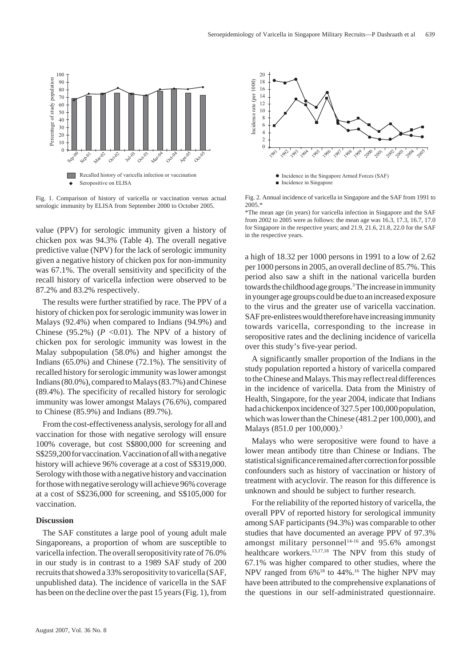

Fig. 1. Comparison of history of varicella or vaccination versus actual serologic immunity by ELISA from September 2000 to October 2005.

value (PPV) for serologic immunity given a history of chicken pox was 94.3% (Table 4). The overall negative predictive value (NPV) for the lack of serologic immunity given a negative history of chicken pox for non-immunity was 67.1%. The overall sensitivity and specificity of the recall history of varicella infection were observed to be 87.2% and 83.2% respectively.

The results were further stratified by race. The PPV of a history of chicken pox for serologic immunity was lower in Malays (92.4%) when compared to Indians (94.9%) and Chinese (95.2%) ( $P < 0.01$ ). The NPV of a history of chicken pox for serologic immunity was lowest in the Malay subpopulation (58.0%) and higher amongst the Indians (65.0%) and Chinese (72.1%). The sensitivity of recalled history for serologic immunity was lower amongst Indians (80.0%), compared to Malays (83.7%) and Chinese (89.4%). The specificity of recalled history for serologic immunity was lower amongst Malays (76.6%), compared to Chinese (85.9%) and Indians (89.7%).

From the cost-effectiveness analysis, serology for all and vaccination for those with negative serology will ensure 100% coverage, but cost S\$800,000 for screening and S\$259,200 for vaccination. Vaccination of all with a negative history will achieve 96% coverage at a cost of S\$319,000. Serology with those with a negative history and vaccination for those with negative serology will achieve 96% coverage at a cost of S\$236,000 for screening, and S\$105,000 for vaccination.

# **Discussion**

The SAF constitutes a large pool of young adult male Singaporeans, a proportion of whom are susceptible to varicella infection. The overall seropositivity rate of 76.0% in our study is in contrast to a 1989 SAF study of 200 recruits that showed a 33% seropositivity to varicella (SAF, unpublished data). The incidence of varicella in the SAF has been on the decline over the past 15 years (Fig. 1), from



Fig. 2. Annual incidence of varicella in Singapore and the SAF from 1991 to 2005.\*



a high of 18.32 per 1000 persons in 1991 to a low of 2.62 per 1000 persons in 2005, an overall decline of 85.7%. This period also saw a shift in the national varicella burden towards the childhood age groups.<sup>3</sup> The increase in immunity in younger age groups could be due to an increased exposure to the virus and the greater use of varicella vaccination. SAF pre-enlistees would therefore have increasing immunity towards varicella, corresponding to the increase in seropositive rates and the declining incidence of varicella over this study's five-year period.

A significantly smaller proportion of the Indians in the study population reported a history of varicella compared to the Chinese and Malays. This may reflect real differences in the incidence of varicella. Data from the Ministry of Health, Singapore, for the year 2004, indicate that Indians had a chickenpox incidence of 327.5 per 100,000 population, which was lower than the Chinese (481.2 per 100,000), and Malays (851.0 per 100,000).<sup>3</sup>

Malays who were seropositive were found to have a lower mean antibody titre than Chinese or Indians. The statistical significance remained after correction for possible confounders such as history of vaccination or history of treatment with acyclovir. The reason for this difference is unknown and should be subject to further research.

For the reliability of the reported history of varicella, the overall PPV of reported history for serological immunity among SAF participants (94.3%) was comparable to other studies that have documented an average PPV of 97.3% amongst military personnel<sup>14-16</sup> and  $95.6\%$  amongst healthcare workers.<sup>13,17,18</sup> The NPV from this study of 67.1% was higher compared to other studies, where the NPV ranged from  $6\%$ <sup>18</sup> to 44%.<sup>16</sup> The higher NPV may have been attributed to the comprehensive explanations of the questions in our self-administrated questionnaire.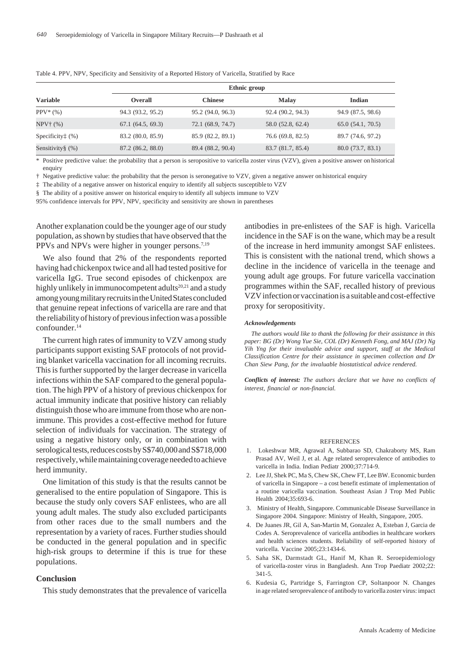|                            |                   | Ethnic group      |                   |                   |  |  |
|----------------------------|-------------------|-------------------|-------------------|-------------------|--|--|
| <b>Variable</b>            | Overall           | <b>Chinese</b>    | <b>Malay</b>      | Indian            |  |  |
| $PPV^*(% )$                | 94.3 (93.2, 95.2) | 95.2 (94.0, 96.3) | 92.4 (90.2, 94.3) | 94.9 (87.5, 98.6) |  |  |
| $NPV^+(%)$                 | 67.1(64.5, 69.3)  | 72.1 (68.9, 74.7) | 58.0 (52.8, 62.4) | 65.0(54.1, 70.5)  |  |  |
| Specificity $\ddagger$ (%) | 83.2 (80.0, 85.9) | 85.9 (82.2, 89.1) | 76.6 (69.8, 82.5) | 89.7 (74.6, 97.2) |  |  |
| Sensitivity $\S$ (%)       | 87.2 (86.2, 88.0) | 89.4 (88.2, 90.4) | 83.7 (81.7, 85.4) | 80.0(73.7, 83.1)  |  |  |

Table 4. PPV, NPV, Specificity and Sensitivity of a Reported History of Varicella, Stratified by Race

\* Positive predictive value: the probability that a person is seropositive to varicella zoster virus (VZV), given a positive answer on historical enquiry

† Negative predictive value: the probability that the person is seronegative to VZV, given a negative answer on historical enquiry

‡ The ability of a negative answer on historical enquiry to identify all subjects susceptible to VZV

§ The ability of a positive answer on historical enquiry to identify all subjects immune to VZV

95% confidence intervals for PPV, NPV, specificity and sensitivity are shown in parentheses

Another explanation could be the younger age of our study population, as shown by studies that have observed that the PPVs and NPVs were higher in younger persons.<sup>7,19</sup>

We also found that 2% of the respondents reported having had chickenpox twice and all had tested positive for varicella IgG. True second episodes of chickenpox are highly unlikely in immunocompetent adults<sup>20,21</sup> and a study among young military recruits in the United States concluded that genuine repeat infections of varicella are rare and that the reliability of history of previous infection was a possible confounder.14

The current high rates of immunity to VZV among study participants support existing SAF protocols of not providing blanket varicella vaccination for all incoming recruits. This is further supported by the larger decrease in varicella infections within the SAF compared to the general population. The high PPV of a history of previous chickenpox for actual immunity indicate that positive history can reliably distinguish those who are immune from those who are nonimmune. This provides a cost-effective method for future selection of individuals for vaccination. The strategy of using a negative history only, or in combination with serological tests, reduces costs by S\$740,000 and S\$718,000 respectively, while maintaining coverage needed to achieve herd immunity.

One limitation of this study is that the results cannot be generalised to the entire population of Singapore. This is because the study only covers SAF enlistees, who are all young adult males. The study also excluded participants from other races due to the small numbers and the representation by a variety of races. Further studies should be conducted in the general population and in specific high-risk groups to determine if this is true for these populations.

#### **Conclusion**

This study demonstrates that the prevalence of varicella

antibodies in pre-enlistees of the SAF is high. Varicella incidence in the SAF is on the wane, which may be a result of the increase in herd immunity amongst SAF enlistees. This is consistent with the national trend, which shows a decline in the incidence of varicella in the teenage and young adult age groups. For future varicella vaccination programmes within the SAF, recalled history of previous VZV infection or vaccination is a suitable and cost-effective proxy for seropositivity.

#### *Acknowledgements*

*The authors would like to thank the following for their assistance in this paper: BG (Dr) Wong Yue Sie, COL (Dr) Kenneth Fong, and MAJ (Dr) Ng Yih Yng for their invaluable advice and support, staff at the Medical Classification Centre for their assistance in specimen collection and Dr Chan Siew Pang, for the invaluable biostatistical advice rendered.*

*Conflicts of interest: The authors declare that we have no conflicts of interest, financial or non-financial.*

#### REFERENCES

- 1. Lokeshwar MR, Agrawal A, Subbarao SD, Chakraborty MS, Ram Prasad AV, Weil J, et al. Age related seroprevalence of antibodies to varicella in India. Indian Pediatr 2000;37:714-9.
- 2. Lee JJ, Shek PC, Ma S, Chew SK, Chew FT, Lee BW. Economic burden of varicella in Singapore – a cost benefit estimate of implementation of a routine varicella vaccination. Southeast Asian J Trop Med Public Health 2004;35:693-6.
- 3. Ministry of Health, Singapore. Communicable Disease Surveillance in Singapore 2004. Singapore: Ministry of Health, Singapore, 2005.
- 4. De Juanes JR, Gil A, San-Martin M, Gonzalez A, Esteban J, Garcia de Codes A. Seroprevalence of varicella antibodies in healthcare workers and health sciences students. Reliability of self-reported history of varicella. Vaccine 2005;23:1434-6.
- 5. Saha SK, Darmstadt GL, Hanif M, Khan R. Seroepidemiology of varicella-zoster virus in Bangladesh. Ann Trop Paediatr 2002;22: 341-5.
- 6. Kudesia G, Partridge S, Farrington CP, Soltanpoor N. Changes in age related seroprevalence of antibody to varicella zoster virus: impact